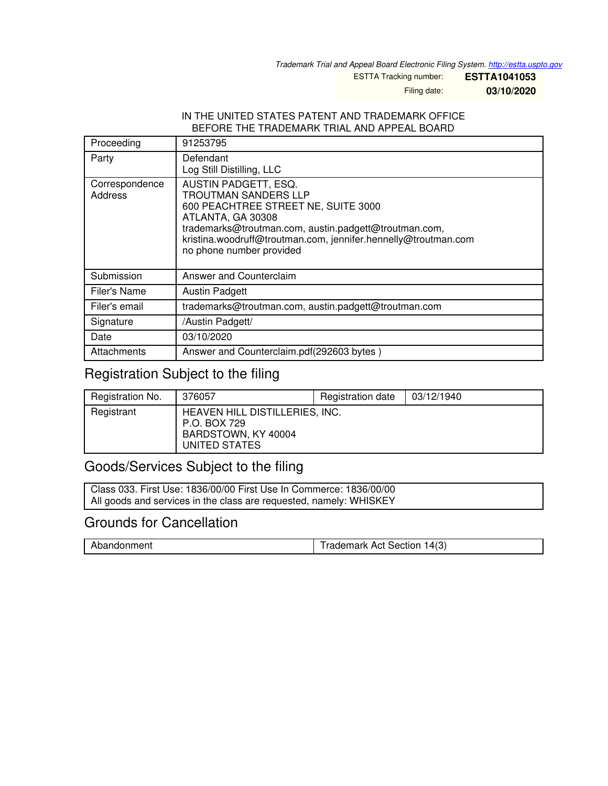*Trademark Trial and Appeal Board Electronic Filing System. <http://estta.uspto.gov>*

ESTTA Tracking number: **ESTTA1041053**

Filing date: **03/10/2020**

#### IN THE UNITED STATES PATENT AND TRADEMARK OFFICE BEFORE THE TRADEMARK TRIAL AND APPEAL BOARD

| Proceeding                | 91253795                                                                                                                                                                                                                                                               |
|---------------------------|------------------------------------------------------------------------------------------------------------------------------------------------------------------------------------------------------------------------------------------------------------------------|
| Party                     | Defendant<br>Log Still Distilling, LLC                                                                                                                                                                                                                                 |
| Correspondence<br>Address | AUSTIN PADGETT, ESQ.<br><b>TROUTMAN SANDERS LLP</b><br>600 PEACHTREE STREET NE, SUITE 3000<br>ATLANTA, GA 30308<br>trademarks@troutman.com, austin.padgett@troutman.com,<br>kristina.woodruff@troutman.com, jennifer.hennelly@troutman.com<br>no phone number provided |
| Submission                | Answer and Counterclaim                                                                                                                                                                                                                                                |
| <b>Filer's Name</b>       | <b>Austin Padgett</b>                                                                                                                                                                                                                                                  |
| Filer's email             | trademarks@troutman.com, austin.padgett@troutman.com                                                                                                                                                                                                                   |
| Signature                 | /Austin Padgett/                                                                                                                                                                                                                                                       |
| Date                      | 03/10/2020                                                                                                                                                                                                                                                             |
| Attachments               | Answer and Counterclaim.pdf(292603 bytes)                                                                                                                                                                                                                              |

# Registration Subject to the filing

| Registration No. | 376057                                                                                 | Registration date | 03/12/1940 |
|------------------|----------------------------------------------------------------------------------------|-------------------|------------|
| Registrant       | HEAVEN HILL DISTILLERIES, INC.<br>P.O. BOX 729<br>BARDSTOWN, KY 40004<br>UNITED STATES |                   |            |

## Goods/Services Subject to the filing

Class 033. First Use: 1836/00/00 First Use In Commerce: 1836/00/00 All goods and services in the class are requested, namely: WHISKEY

## Grounds for Cancellation

| Abandonment | 14(3)<br>1 <sup>1</sup> frademark Act Section |
|-------------|-----------------------------------------------|
|             |                                               |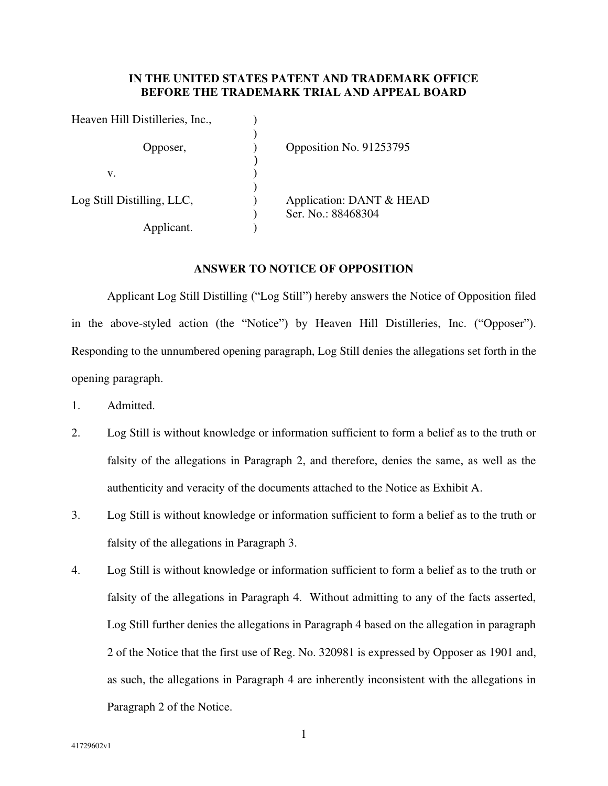#### **IN THE UNITED STATES PATENT AND TRADEMARK OFFICE BEFORE THE TRADEMARK TRIAL AND APPEAL BOARD**

| Heaven Hill Distilleries, Inc., |                                                |
|---------------------------------|------------------------------------------------|
| Opposer,                        | Opposition No. 91253795                        |
| v.                              |                                                |
| Log Still Distilling, LLC,      | Application: DANT & HEAD<br>Ser. No.: 88468304 |
| Applicant.                      |                                                |

#### **ANSWER TO NOTICE OF OPPOSITION**

Applicant Log Still Distilling ("Log Still") hereby answers the Notice of Opposition filed in the above-styled action (the "Notice") by Heaven Hill Distilleries, Inc. ("Opposer"). Responding to the unnumbered opening paragraph, Log Still denies the allegations set forth in the opening paragraph.

- 1. Admitted.
- 2. Log Still is without knowledge or information sufficient to form a belief as to the truth or falsity of the allegations in Paragraph 2, and therefore, denies the same, as well as the authenticity and veracity of the documents attached to the Notice as Exhibit A.
- 3. Log Still is without knowledge or information sufficient to form a belief as to the truth or falsity of the allegations in Paragraph 3.
- 4. Log Still is without knowledge or information sufficient to form a belief as to the truth or falsity of the allegations in Paragraph 4. Without admitting to any of the facts asserted, Log Still further denies the allegations in Paragraph 4 based on the allegation in paragraph 2 of the Notice that the first use of Reg. No. 320981 is expressed by Opposer as 1901 and, as such, the allegations in Paragraph 4 are inherently inconsistent with the allegations in Paragraph 2 of the Notice.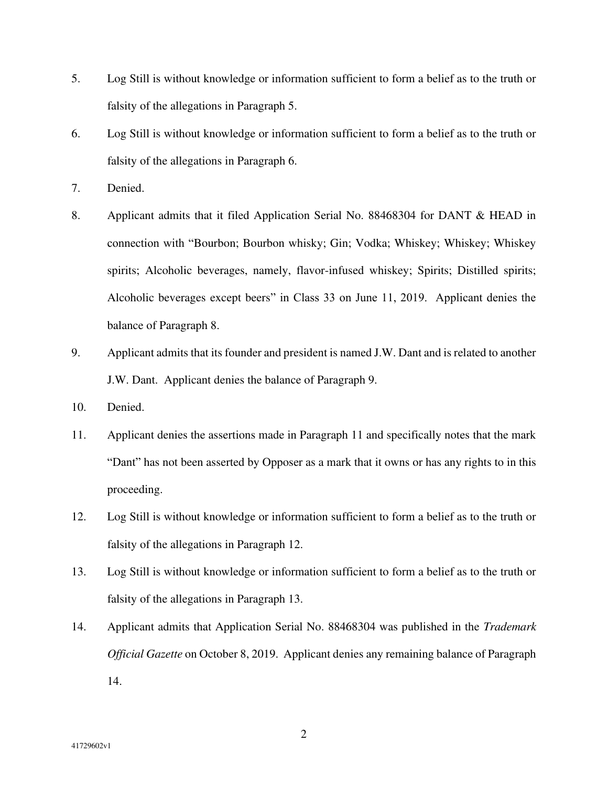- 5. Log Still is without knowledge or information sufficient to form a belief as to the truth or falsity of the allegations in Paragraph 5.
- 6. Log Still is without knowledge or information sufficient to form a belief as to the truth or falsity of the allegations in Paragraph 6.
- 7. Denied.
- 8. Applicant admits that it filed Application Serial No. 88468304 for DANT & HEAD in connection with "Bourbon; Bourbon whisky; Gin; Vodka; Whiskey; Whiskey; Whiskey spirits; Alcoholic beverages, namely, flavor-infused whiskey; Spirits; Distilled spirits; Alcoholic beverages except beers" in Class 33 on June 11, 2019. Applicant denies the balance of Paragraph 8.
- 9. Applicant admits that its founder and president is named J.W. Dant and is related to another J.W. Dant. Applicant denies the balance of Paragraph 9.
- 10. Denied.
- 11. Applicant denies the assertions made in Paragraph 11 and specifically notes that the mark "Dant" has not been asserted by Opposer as a mark that it owns or has any rights to in this proceeding.
- 12. Log Still is without knowledge or information sufficient to form a belief as to the truth or falsity of the allegations in Paragraph 12.
- 13. Log Still is without knowledge or information sufficient to form a belief as to the truth or falsity of the allegations in Paragraph 13.
- 14. Applicant admits that Application Serial No. 88468304 was published in the *Trademark Official Gazette* on October 8, 2019. Applicant denies any remaining balance of Paragraph 14.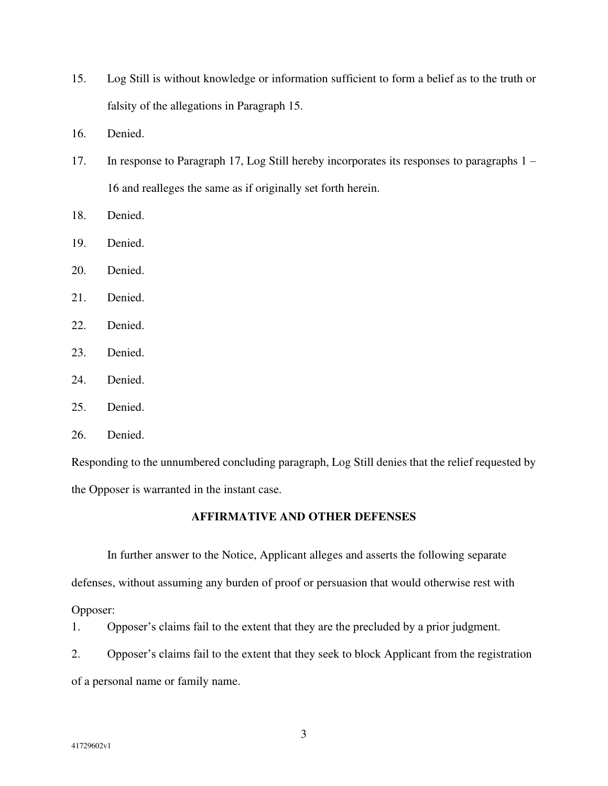- 15. Log Still is without knowledge or information sufficient to form a belief as to the truth or falsity of the allegations in Paragraph 15.
- 16. Denied.
- 17. In response to Paragraph 17, Log Still hereby incorporates its responses to paragraphs 1 16 and realleges the same as if originally set forth herein.
- 18. Denied.
- 19. Denied.
- 20. Denied.
- 21. Denied.
- 22. Denied.
- 23. Denied.
- 24. Denied.
- 25. Denied.
- 26. Denied.

Responding to the unnumbered concluding paragraph, Log Still denies that the relief requested by the Opposer is warranted in the instant case.

#### **AFFIRMATIVE AND OTHER DEFENSES**

In further answer to the Notice, Applicant alleges and asserts the following separate defenses, without assuming any burden of proof or persuasion that would otherwise rest with

Opposer:

1. Opposer's claims fail to the extent that they are the precluded by a prior judgment.

2. Opposer's claims fail to the extent that they seek to block Applicant from the registration of a personal name or family name.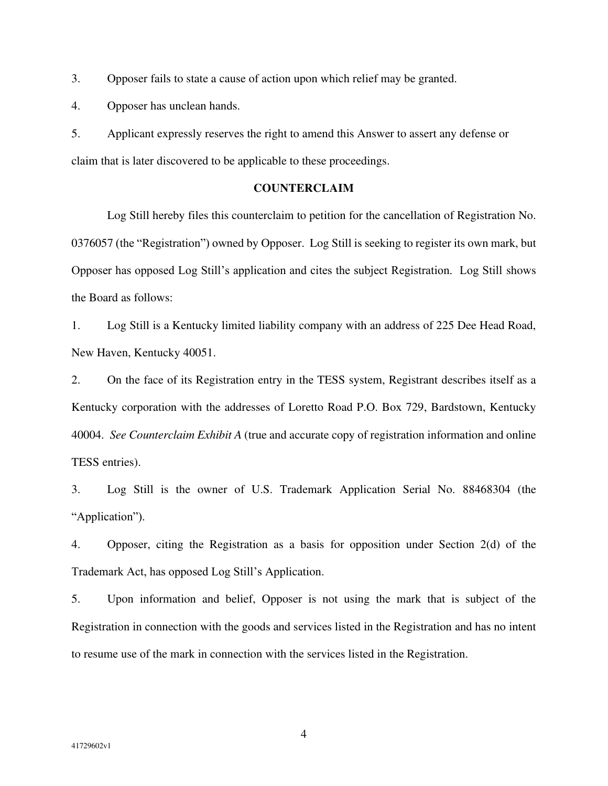3. Opposer fails to state a cause of action upon which relief may be granted.

4. Opposer has unclean hands.

5. Applicant expressly reserves the right to amend this Answer to assert any defense or claim that is later discovered to be applicable to these proceedings.

#### **COUNTERCLAIM**

 Log Still hereby files this counterclaim to petition for the cancellation of Registration No. 0376057 (the "Registration") owned by Opposer. Log Still is seeking to register its own mark, but Opposer has opposed Log Still's application and cites the subject Registration. Log Still shows the Board as follows:

1. Log Still is a Kentucky limited liability company with an address of 225 Dee Head Road, New Haven, Kentucky 40051.

2. On the face of its Registration entry in the TESS system, Registrant describes itself as a Kentucky corporation with the addresses of Loretto Road P.O. Box 729, Bardstown, Kentucky 40004. *See Counterclaim Exhibit A* (true and accurate copy of registration information and online TESS entries).

3. Log Still is the owner of U.S. Trademark Application Serial No. 88468304 (the "Application").

4. Opposer, citing the Registration as a basis for opposition under Section 2(d) of the Trademark Act, has opposed Log Still's Application.

5. Upon information and belief, Opposer is not using the mark that is subject of the Registration in connection with the goods and services listed in the Registration and has no intent to resume use of the mark in connection with the services listed in the Registration.

4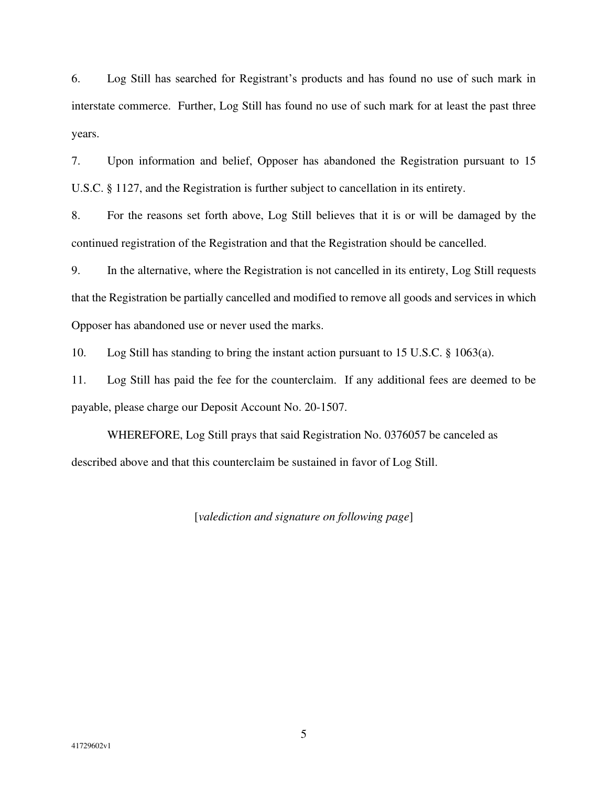6. Log Still has searched for Registrant's products and has found no use of such mark in interstate commerce. Further, Log Still has found no use of such mark for at least the past three years.

7. Upon information and belief, Opposer has abandoned the Registration pursuant to 15 U.S.C. § 1127, and the Registration is further subject to cancellation in its entirety.

8. For the reasons set forth above, Log Still believes that it is or will be damaged by the continued registration of the Registration and that the Registration should be cancelled.

9. In the alternative, where the Registration is not cancelled in its entirety, Log Still requests that the Registration be partially cancelled and modified to remove all goods and services in which Opposer has abandoned use or never used the marks.

10. Log Still has standing to bring the instant action pursuant to 15 U.S.C. § 1063(a).

11. Log Still has paid the fee for the counterclaim. If any additional fees are deemed to be payable, please charge our Deposit Account No. 20-1507.

 WHEREFORE, Log Still prays that said Registration No. 0376057 be canceled as described above and that this counterclaim be sustained in favor of Log Still.

[*valediction and signature on following page*]

5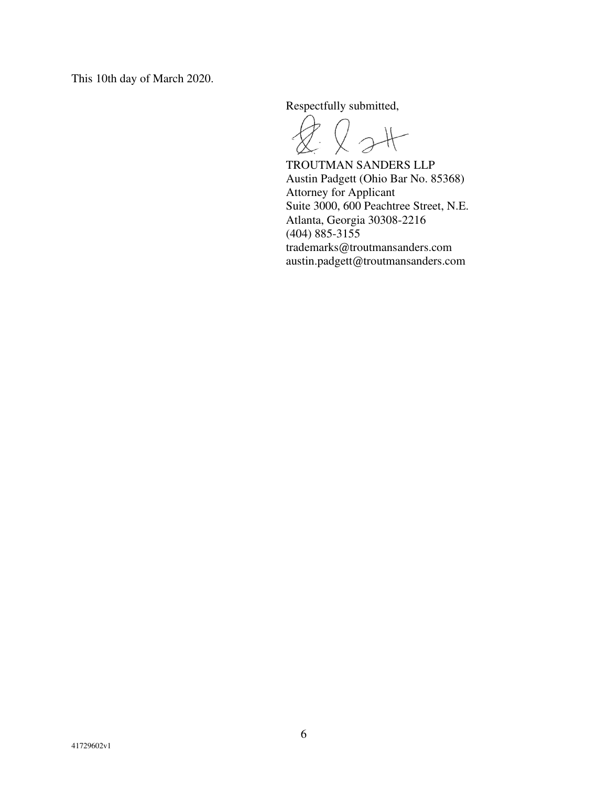This 10th day of March 2020.

Respectfully submitted,

 $Q$ st

 TROUTMAN SANDERS LLP Austin Padgett (Ohio Bar No. 85368) Attorney for Applicant Suite 3000, 600 Peachtree Street, N.E. Atlanta, Georgia 30308-2216 (404) 885-3155 trademarks@troutmansanders.com austin.padgett@troutmansanders.com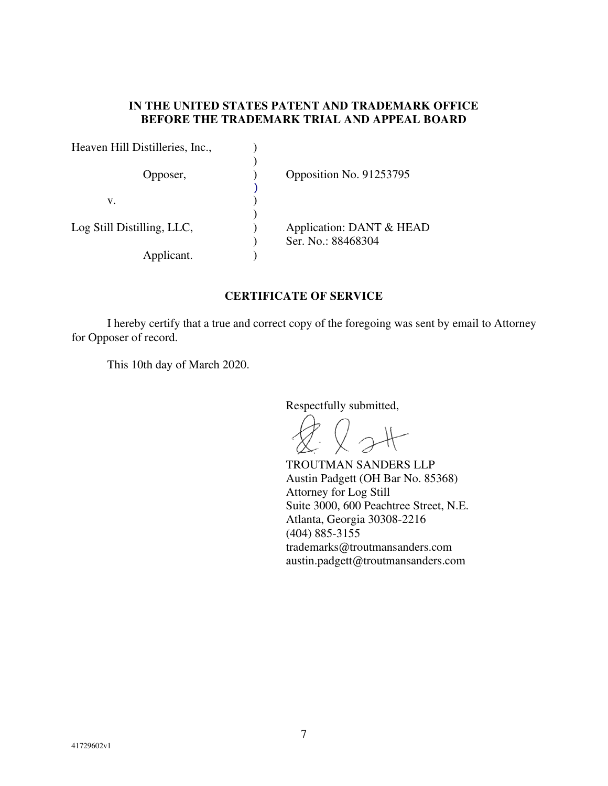### **IN THE UNITED STATES PATENT AND TRADEMARK OFFICE BEFORE THE TRADEMARK TRIAL AND APPEAL BOARD**

| Heaven Hill Distilleries, Inc., |                                                |
|---------------------------------|------------------------------------------------|
| Opposer,                        | Opposition No. 91253795                        |
| v.                              |                                                |
| Log Still Distilling, LLC,      | Application: DANT & HEAD<br>Ser. No.: 88468304 |
| Applicant.                      |                                                |

## **CERTIFICATE OF SERVICE**

 I hereby certify that a true and correct copy of the foregoing was sent by email to Attorney for Opposer of record.

This 10th day of March 2020.

Respectfully submitted,

 $Q$  st

 TROUTMAN SANDERS LLP Austin Padgett (OH Bar No. 85368) Attorney for Log Still Suite 3000, 600 Peachtree Street, N.E. Atlanta, Georgia 30308-2216 (404) 885-3155 trademarks@troutmansanders.com austin.padgett@troutmansanders.com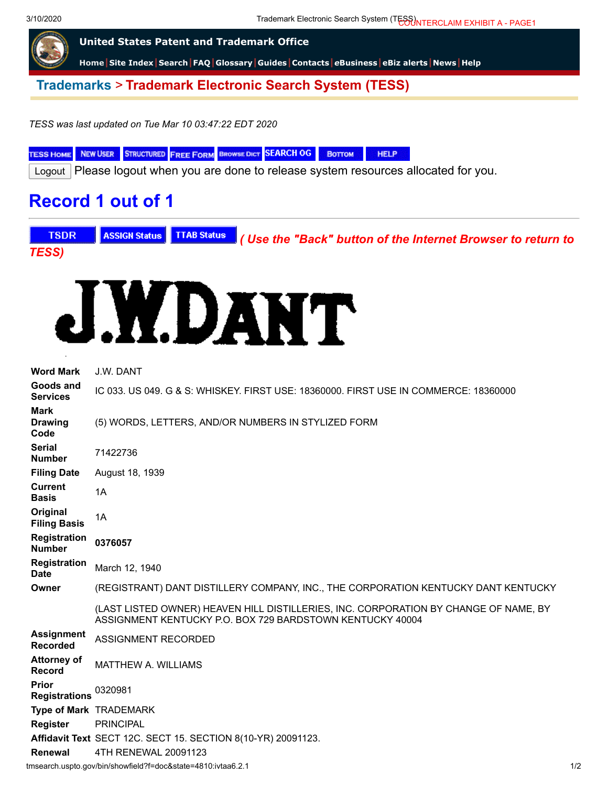3/10/2020 Trademark Electronic Search System (TESS) COUNTERCLAIM EXHIBIT A - PAGE1



**[Trademarks](http://www.uspto.gov/main/trademarks.htm)** > **Trademark Electronic Search System (TESS)**

*TESS was last updated on Tue Mar 10 03:47:22 EDT 2020*

TESS HOME NEW USER STRUCTURED FREE FORM BROWSE DICT SEARCH OG BOTTOM **HELP** 

Logout Please logout when you are done to release system resources allocated for you.

# **Record 1 out of 1**





| <b>Word Mark</b>                      | J.W. DANT                                                                                                                                         |     |
|---------------------------------------|---------------------------------------------------------------------------------------------------------------------------------------------------|-----|
| Goods and<br><b>Services</b>          | IC 033. US 049, G & S: WHISKEY, FIRST USE: 18360000, FIRST USE IN COMMERCE: 18360000                                                              |     |
| <b>Mark</b><br><b>Drawing</b><br>Code | (5) WORDS, LETTERS, AND/OR NUMBERS IN STYLIZED FORM                                                                                               |     |
| <b>Serial</b><br><b>Number</b>        | 71422736                                                                                                                                          |     |
| <b>Filing Date</b>                    | August 18, 1939                                                                                                                                   |     |
| <b>Current</b><br><b>Basis</b>        | 1A                                                                                                                                                |     |
| Original<br><b>Filing Basis</b>       | 1A                                                                                                                                                |     |
| <b>Registration</b><br><b>Number</b>  | 0376057                                                                                                                                           |     |
| <b>Registration</b><br><b>Date</b>    | March 12, 1940                                                                                                                                    |     |
| Owner                                 | (REGISTRANT) DANT DISTILLERY COMPANY, INC., THE CORPORATION KENTUCKY DANT KENTUCKY                                                                |     |
|                                       | (LAST LISTED OWNER) HEAVEN HILL DISTILLERIES, INC. CORPORATION BY CHANGE OF NAME, BY<br>ASSIGNMENT KENTUCKY P.O. BOX 729 BARDSTOWN KENTUCKY 40004 |     |
| <b>Assignment</b><br><b>Recorded</b>  | ASSIGNMENT RECORDED                                                                                                                               |     |
| <b>Attorney of</b><br><b>Record</b>   | <b>MATTHEW A. WILLIAMS</b>                                                                                                                        |     |
| Prior<br><b>Registrations</b>         | 0320981                                                                                                                                           |     |
|                                       | Type of Mark TRADEMARK                                                                                                                            |     |
| <b>Register</b>                       | <b>PRINCIPAL</b>                                                                                                                                  |     |
|                                       | Affidavit Text SECT 12C. SECT 15. SECTION 8(10-YR) 20091123.                                                                                      |     |
| Renewal                               | 4TH RENEWAL 20091123                                                                                                                              |     |
|                                       | tmsearch.uspto.gov/bin/showfield?f=doc&state=4810.ivtaa6.2.1                                                                                      | 1/2 |